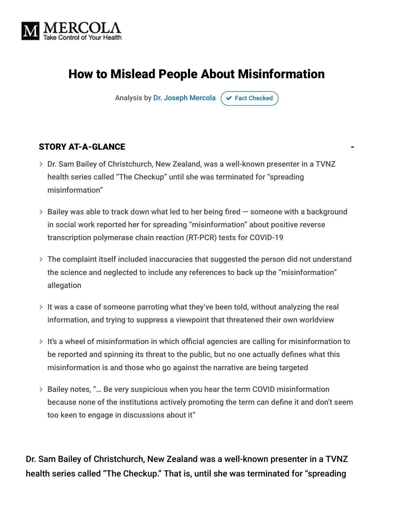

# How to Mislead People About Misinformation

Analysis by [Dr. Joseph Mercola](https://www.mercola.com/forms/background.htm)  $\sigma$  [Fact Checked](javascript:void(0))

#### STORY AT-A-GLANCE

- Dr. Sam Bailey of Christchurch, New Zealand, was a well-known presenter in a TVNZ health series called "The Checkup" until she was terminated for "spreading misinformation"
- $>$  Bailey was able to track down what led to her being fired  $-$  someone with a background in social work reported her for spreading "misinformation" about positive reverse transcription polymerase chain reaction (RT-PCR) tests for COVID-19
- The complaint itself included inaccuracies that suggested the person did not understand the science and neglected to include any references to back up the "misinformation" allegation
- $>$  It was a case of someone parroting what they've been told, without analyzing the real information, and trying to suppress a viewpoint that threatened their own worldview
- $>$  It's a wheel of misinformation in which official agencies are calling for misinformation to be reported and spinning its threat to the public, but no one actually defines what this misinformation is and those who go against the narrative are being targeted
- Bailey notes, "… Be very suspicious when you hear the term COVID misinformation because none of the institutions actively promoting the term can define it and don't seem too keen to engage in discussions about it"

Dr. Sam Bailey of Christchurch, New Zealand was a well-known presenter in a TVNZ health series called "The Checkup." That is, until she was terminated for "spreading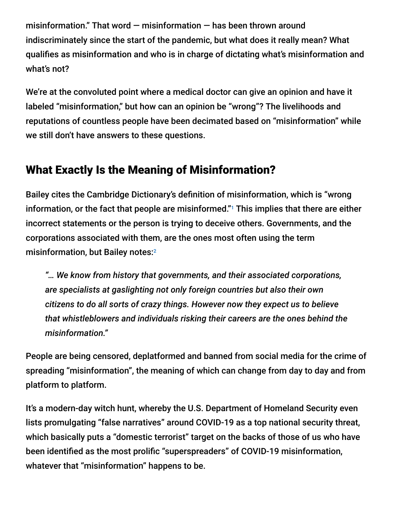misinformation." That word  $-$  misinformation  $-$  has been thrown around indiscriminately since the start of the pandemic, but what does it really mean? What qualifies as misinformation and who is in charge of dictating what's misinformation and what's not?

We're at the convoluted point where a medical doctor can give an opinion and have it labeled "misinformation," but how can an opinion be "wrong"? The livelihoods and reputations of countless people have been decimated based on "misinformation" while we still don't have answers to these questions.

### What Exactly Is the Meaning of Misinformation?

Bailey cites the Cambridge Dictionary's definition of misinformation, which is "wrong information, or the fact that people are misinformed."<sup>1</sup> This implies that there are either incorrect statements or the person is trying to deceive others. Governments, and the corporations associated with them, are the ones most often using the term misinformation, but Bailey notes: 2

*"… We know from history that governments, and their associated corporations, are specialists at gaslighting not only foreign countries but also their own citizens to do all sorts of crazy things. However now they expect us to believe that whistleblowers and individuals risking their careers are the ones behind the misinformation."*

People are being censored, deplatformed and banned from social media for the crime of spreading "misinformation", the meaning of which can change from day to day and from platform to platform.

It's a modern-day witch hunt, whereby the U.S. Department of Homeland Security even lists promulgating "false narratives" around COVID-19 as a top national security threat, which basically puts a "domestic terrorist" target on the backs of those of us who have been identified as the most prolific "superspreaders" of COVID-19 misinformation, whatever that "misinformation" happens to be.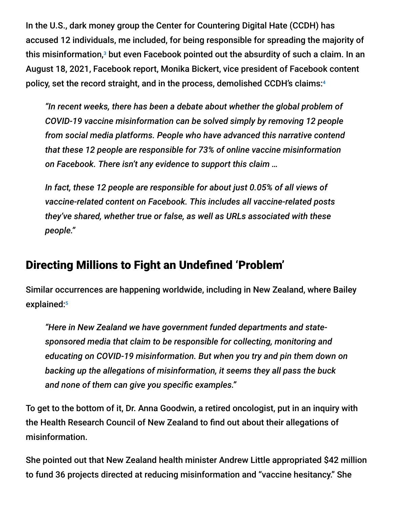In the U.S., dark money group the Center for Countering Digital Hate (CCDH) has accused 12 individuals, me included, for being responsible for spreading the majority of this misinformation, $^3$  but even Facebook pointed out the absurdity of such a claim. In an August 18, 2021, Facebook report, Monika Bickert, vice president of Facebook content policy, set the record straight, and in the process, demolished CCDH's claims: 4

*"In recent weeks, there has been a debate about whether the global problem of COVID-19 vaccine misinformation can be solved simply by removing 12 people from social media platforms. People who have advanced this narrative contend that these 12 people are responsible for 73% of online vaccine misinformation on Facebook. There isn't any evidence to support this claim …*

*In fact, these 12 people are responsible for about just 0.05% of all views of vaccine-related content on Facebook. This includes all vaccine-related posts they've shared, whether true or false, as well as URLs associated with these people."*

#### Directing Millions to Fight an Undefined 'Problem'

Similar occurrences are happening worldwide, including in New Zealand, where Bailey explained: 5

*"Here in New Zealand we have government funded departments and statesponsored media that claim to be responsible for collecting, monitoring and educating on COVID-19 misinformation. But when you try and pin them down on backing up the allegations of misinformation, it seems they all pass the buck and none of them can give you specific examples."*

To get to the bottom of it, Dr. Anna Goodwin, a retired oncologist, put in an inquiry with the Health Research Council of New Zealand to find out about their allegations of misinformation.

She pointed out that New Zealand health minister Andrew Little appropriated \$42 million to fund 36 projects directed at reducing misinformation and "vaccine hesitancy." She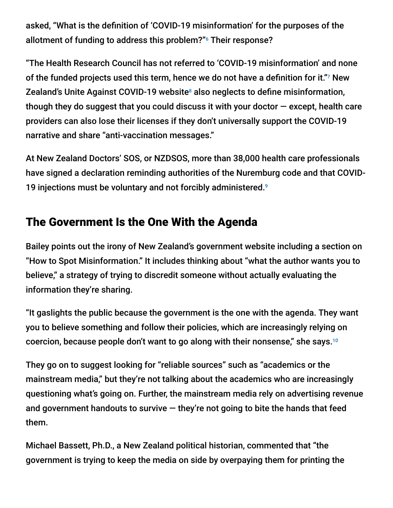asked, "What is the definition of 'COVID-19 misinformation' for the purposes of the allotment of funding to address this problem?" Their response?

"The Health Research Council has not referred to 'COVID-19 misinformation' and none of the funded projects used this term, hence we do not have a definition for it."? New Zealand's Unite Against COVID-19 website<sup>8</sup> also neglects to define misinformation, though they do suggest that you could discuss it with your doctor  $-$  except, health care providers can also lose their licenses if they don't universally support the COVID-19 narrative and share "anti-vaccination messages."

At New Zealand Doctors' SOS, or NZDSOS, more than 38,000 health care professionals have signed a declaration reminding authorities of the Nuremburg code and that COVID-19 injections must be voluntary and not forcibly administered. 9

## The Government Is the One With the Agenda

Bailey points out the irony of New Zealand's government website including a section on "How to Spot Misinformation." It includes thinking about "what the author wants you to believe," a strategy of trying to discredit someone without actually evaluating the information they're sharing.

"It gaslights the public because the government is the one with the agenda. They want you to believe something and follow their policies, which are increasingly relying on coercion, because people don't want to go along with their nonsense," she says.<sup>10</sup>

They go on to suggest looking for "reliable sources" such as "academics or the mainstream media," but they're not talking about the academics who are increasingly questioning what's going on. Further, the mainstream media rely on advertising revenue and government handouts to survive  $-$  they're not going to bite the hands that feed them.

Michael Bassett, Ph.D., a New Zealand political historian, commented that "the government is trying to keep the media on side by overpaying them for printing the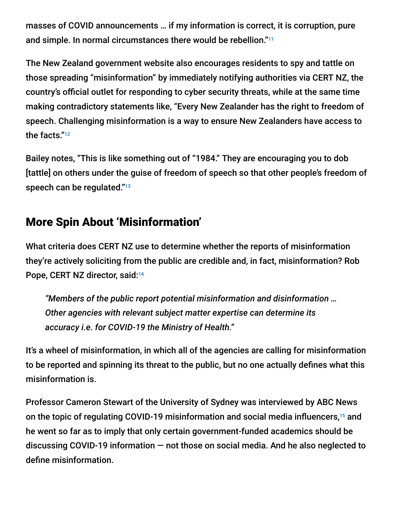masses of COVID announcements … if my information is correct, it is corruption, pure and simple. In normal circumstances there would be rebellion." 11

The New Zealand government website also encourages residents to spy and tattle on those spreading "misinformation" by immediately notifying authorities via CERT NZ, the country's official outlet for responding to cyber security threats, while at the same time making contradictory statements like, "Every New Zealander has the right to freedom of speech. Challenging misinformation is a way to ensure New Zealanders have access to the facts." 12

Bailey notes, "This is like something out of "1984." They are encouraging you to dob [tattle] on others under the guise of freedom of speech so that other people's freedom of speech can be regulated." 13

### More Spin About 'Misinformation'

What criteria does CERT NZ use to determine whether the reports of misinformation they're actively soliciting from the public are credible and, in fact, misinformation? Rob Pope, CERT NZ director, said:<sup>14</sup>

*"Members of the public report potential misinformation and disinformation … Other agencies with relevant subject matter expertise can determine its accuracy i.e. for COVID-19 the Ministry of Health."*

It's a wheel of misinformation, in which all of the agencies are calling for misinformation to be reported and spinning its threat to the public, but no one actually defines what this misinformation is.

Professor Cameron Stewart of the University of Sydney was interviewed by ABC News on the topic of regulating COVID-19 misinformation and social media influencers,<sup>15</sup> and he went so far as to imply that only certain government-funded academics should be discussing COVID-19 information — not those on social media. And he also neglected to define misinformation.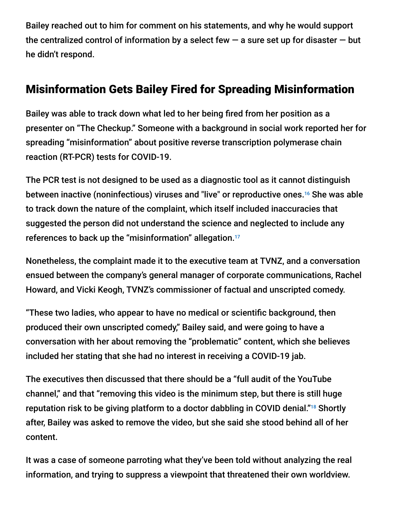Bailey reached out to him for comment on his statements, and why he would support the centralized control of information by a select few  $-$  a sure set up for disaster  $-$  but he didn't respond.

### Misinformation Gets Bailey Fired for Spreading Misinformation

Bailey was able to track down what led to her being fired from her position as a presenter on "The Checkup." Someone with a background in social work reported her for spreading "misinformation" about positive reverse transcription polymerase chain reaction (RT-PCR) tests for COVID-19.

The PCR test is not designed to be used as a diagnostic tool as it cannot distinguish between inactive (noninfectious) viruses and "live" or reproductive ones.<sup>16</sup> She was able to track down the nature of the complaint, which itself included inaccuracies that suggested the person did not understand the science and neglected to include any references to back up the "misinformation" allegation. 17

Nonetheless, the complaint made it to the executive team at TVNZ, and a conversation ensued between the company's general manager of corporate communications, Rachel Howard, and Vicki Keogh, TVNZ's commissioner of factual and unscripted comedy.

"These two ladies, who appear to have no medical or scientific background, then produced their own unscripted comedy," Bailey said, and were going to have a conversation with her about removing the "problematic" content, which she believes included her stating that she had no interest in receiving a COVID-19 jab.

The executives then discussed that there should be a "full audit of the YouTube channel," and that "removing this video is the minimum step, but there is still huge reputation risk to be giving platform to a doctor dabbling in COVID denial."<sup>18</sup> Shortly after, Bailey was asked to remove the video, but she said she stood behind all of her content.

It was a case of someone parroting what they've been told without analyzing the real information, and trying to suppress a viewpoint that threatened their own worldview.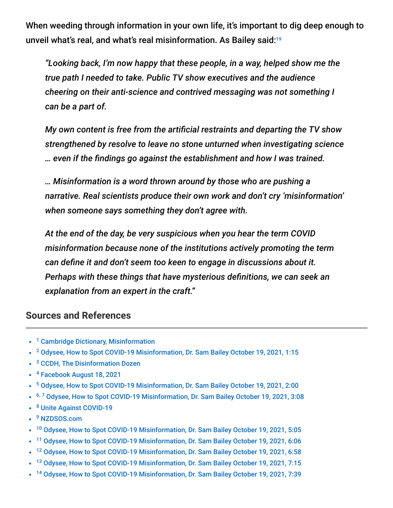When weeding through information in your own life, it's important to dig deep enough to unveil what's real, and what's real misinformation. As Bailey said: 19

*"Looking back, I'm now happy that these people, in a way, helped show me the true path I needed to take. Public TV show executives and the audience cheering on their anti-science and contrived messaging was not something I can be a part of.*

*My own content is free from the artificial restraints and departing the TV show strengthened by resolve to leave no stone unturned when investigating science … even if the findings go against the establishment and how I was trained.*

*… Misinformation is a word thrown around by those who are pushing a narrative. Real scientists produce their own work and don't cry 'misinformation' when someone says something they don't agree with.*

*At the end of the day, be very suspicious when you hear the term COVID misinformation because none of the institutions actively promoting the term can define it and don't seem too keen to engage in discussions about it. Perhaps with these things that have mysterious definitions, we can seek an explanation from an expert in the craft."*

#### **Sources and References**

- <sup>1</sup> [Cambridge Dictionary, Misinformation](https://dictionary.cambridge.org/dictionary/english/misinformation)
- <sup>2</sup> [Odysee, How to Spot COVID-19 Misinformation, Dr. Sam Bailey October 19, 2021, 1:15](https://odysee.com/@drsambailey:c/howtospotcovidmisinformation:9)
- <sup>3</sup> [CCDH, The Disinformation Dozen](https://252f2edd-1c8b-49f5-9bb2-cb57bb47e4ba.filesusr.com/ugd/f4d9b9_b7cedc0553604720b7137f8663366ee5.pdf)
- <sup>4</sup> [Facebook August 18, 2021](https://about.fb.com/news/2021/08/taking-action-against-vaccine-misinformation-superspreaders/)
- <sup>5</sup> [Odysee, How to Spot COVID-19 Misinformation, Dr. Sam Bailey October 19, 2021, 2:00](https://odysee.com/@drsambailey:c/howtospotcovidmisinformation:9)
- <sup>6, 7</sup> [Odysee, How to Spot COVID-19 Misinformation, Dr. Sam Bailey October 19, 2021, 3:08](https://odysee.com/@drsambailey:c/howtospotcovidmisinformation:9)
- <sup>8</sup> [Unite Against COVID-19](https://covid19.govt.nz/)
- <sup>9</sup> [NZDSOS.com](https://nzdsos.com/)
- <sup>10</sup> [Odysee, How to Spot COVID-19 Misinformation, Dr. Sam Bailey October 19, 2021, 5:05](https://odysee.com/@drsambailey:c/howtospotcovidmisinformation:9)
- <sup>11</sup> [Odysee, How to Spot COVID-19 Misinformation, Dr. Sam Bailey October 19, 2021, 6:06](https://odysee.com/@drsambailey:c/howtospotcovidmisinformation:9)
- <sup>12</sup> [Odysee, How to Spot COVID-19 Misinformation, Dr. Sam Bailey October 19, 2021, 6:58](https://odysee.com/@drsambailey:c/howtospotcovidmisinformation:9)
- <sup>13</sup> [Odysee, How to Spot COVID-19 Misinformation, Dr. Sam Bailey October 19, 2021, 7:15](https://odysee.com/@drsambailey:c/howtospotcovidmisinformation:9)
- <sup>14</sup> [Odysee, How to Spot COVID-19 Misinformation, Dr. Sam Bailey October 19, 2021, 7:39](https://odysee.com/@drsambailey:c/howtospotcovidmisinformation:9)